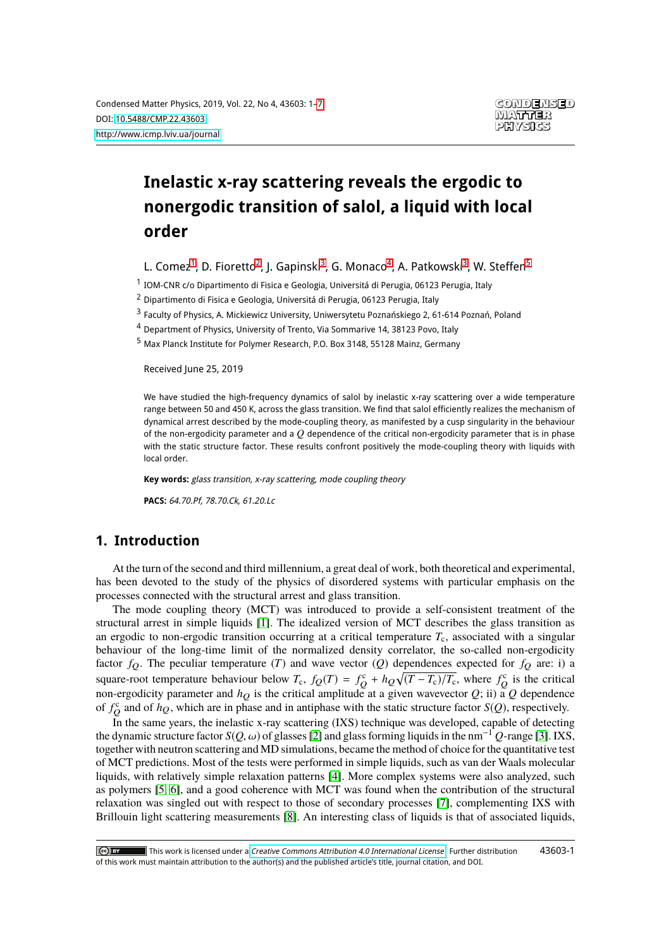# **Inelastic x-ray scattering reveals the ergodic to nonergodic transition of salol, a liquid with local order**

L. Comez<sup>[1](#page-0-0)</sup>, D. Fioretto<sup>[2](#page-0-1)</sup>, J. Gapinski<sup>[3](#page-0-2)</sup>, G. Monaco<sup>[4](#page-0-3)</sup>, A. Patkowski<sup>3</sup>, W. Steffen<sup>[5](#page-0-4)</sup>

<span id="page-0-0"></span><sup>1</sup> IOM-CNR c/o Dipartimento di Fisica e Geologia, Universitá di Perugia, 06123 Perugia, Italy

<span id="page-0-1"></span><sup>2</sup> Dipartimento di Fisica e Geologia, Universitá di Perugia, 06123 Perugia, Italy

<span id="page-0-2"></span><sup>3</sup> Faculty of Physics, A. Mickiewicz University, Uniwersytetu Poznańskiego 2, 61-614 Poznań, Poland

<span id="page-0-3"></span><sup>4</sup> Department of Physics, University of Trento, Via Sommarive 14, 38123 Povo, Italy

<span id="page-0-4"></span><sup>5</sup> Max Planck Institute for Polymer Research, P.O. Box 3148, 55128 Mainz, Germany

Received June 25, 2019

We have studied the high-frequency dynamics of salol by inelastic x-ray scattering over a wide temperature range between 50 and 450 K, across the glass transition. We find that salol efficiently realizes the mechanism of dynamical arrest described by the mode-coupling theory, as manifested by a cusp singularity in the behaviour of the non-ergodicity parameter and a *Q* dependence of the critical non-ergodicity parameter that is in phase with the static structure factor. These results confront positively the mode-coupling theory with liquids with local order.

**Key words:** glass transition, x-ray scattering, mode coupling theory

**PACS:** 64.70.Pf, 78.70.Ck, 61.20.Lc

### **1. Introduction**

At the turn of the second and third millennium, a great deal of work, both theoretical and experimental, has been devoted to the study of the physics of disordered systems with particular emphasis on the processes connected with the structural arrest and glass transition.

The mode coupling theory (MCT) was introduced to provide a self-consistent treatment of the structural arrest in simple liquids [\[1\]](#page-5-0). The idealized version of MCT describes the glass transition as an ergodic to non-ergodic transition occurring at a critical temperature  $T_c$ , associated with a singular behaviour of the long-time limit of the normalized density correlator, the so-called non-ergodicity factor  $f_Q$ . The peculiar temperature (*T*) and wave vector (*Q*) dependences expected for  $f_Q$  are: i) a square-root temperature behaviour below  $T_c$ ,  $f_Q(T) = f_Q^c + h_Q \sqrt{(T - T_c)/T_c}$ , where  $f_Q^c$  is the critical non-ergodicity parameter and  $h_Q$  is the critical amplitude at a given wavevector *Q*; ii) a *Q* dependence of  $f_Q^c$  and of  $h_Q$ , which are in phase and in antiphase with the static structure factor *S*(*Q*), respectively.

In the same years, the inelastic x-ray scattering (IXS) technique was developed, capable of detecting the dynamic structure factor  $S(Q, \omega)$  of glasses [\[2\]](#page-5-1) and glass forming liquids in the nm<sup>-1</sup>  $Q$ -range [\[3\]](#page-5-2). IXS, together with neutron scattering and MD simulations, became the method of choice for the quantitative test of MCT predictions. Most of the tests were performed in simple liquids, such as van der Waals molecular liquids, with relatively simple relaxation patterns [\[4\]](#page-5-3). More complex systems were also analyzed, such as polymers [\[5,](#page-5-4) [6\]](#page-5-5), and a good coherence with MCT was found when the contribution of the structural relaxation was singled out with respect to those of secondary processes [\[7\]](#page-5-6), complementing IXS with Brillouin light scattering measurements [\[8\]](#page-5-7). An interesting class of liquids is that of associated liquids,

This work is licensed under a [Creative Commons Attribution 4.0 International License](http://creativecommons.org/licenses/by/4.0/). Further distribution 43603-1 $\left[\odotright]$  by of this work must maintain attribution to the author(s) and the published article's title, journal citation, and DOI.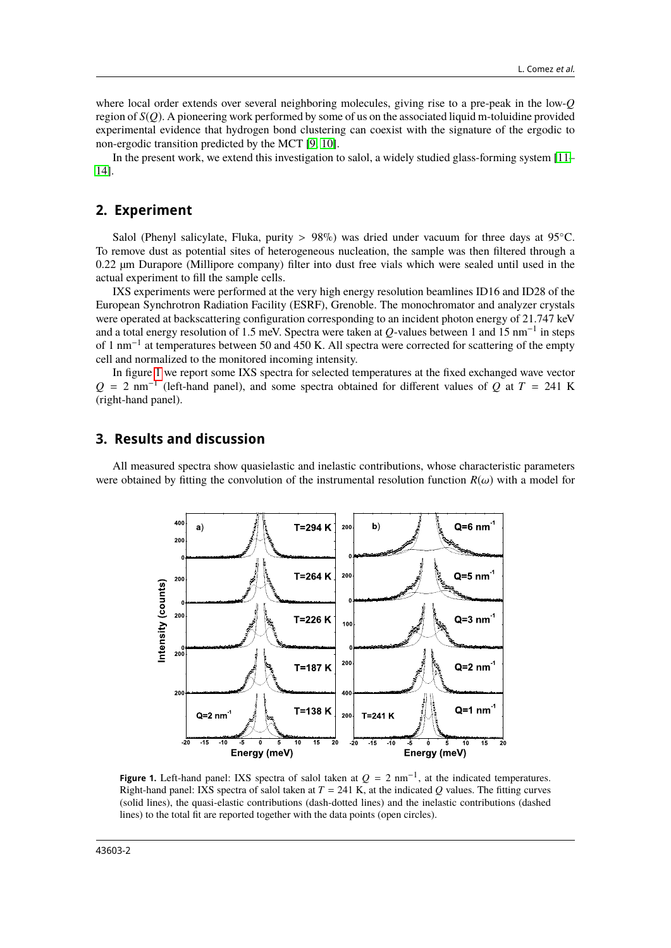where local order extends over several neighboring molecules, giving rise to a pre-peak in the low-*Q* region of *S*(*Q*). A pioneering work performed by some of us on the associated liquid m-toluidine provided experimental evidence that hydrogen bond clustering can coexist with the signature of the ergodic to non-ergodic transition predicted by the MCT [\[9,](#page-5-8) [10\]](#page-5-9).

In the present work, we extend this investigation to salol, a widely studied glass-forming system [\[11–](#page-5-10) [14\]](#page-6-1).

#### **2. Experiment**

Salol (Phenyl salicylate, Fluka, purity > 98%) was dried under vacuum for three days at 95 °C. To remove dust as potential sites of heterogeneous nucleation, the sample was then filtered through a 0.22 µm Durapore (Millipore company) filter into dust free vials which were sealed until used in the actual experiment to fill the sample cells.

IXS experiments were performed at the very high energy resolution beamlines ID16 and ID28 of the European Synchrotron Radiation Facility (ESRF), Grenoble. The monochromator and analyzer crystals were operated at backscattering configuration corresponding to an incident photon energy of 21.747 keV and a total energy resolution of 1.5 meV. Spectra were taken at *Q*-values between 1 and 15 nm−<sup>1</sup> in steps of 1 nm−<sup>1</sup> at temperatures between 50 and 450 K. All spectra were corrected for scattering of the empty cell and normalized to the monitored incoming intensity.

In figure [1](#page-1-0) we report some IXS spectra for selected temperatures at the fixed exchanged wave vector  $Q = 2$  nm<sup>-1</sup> (left-hand panel), and some spectra obtained for different values of  $Q$  at  $T = 241$  K (right-hand panel).

## **3. Results and discussion**

All measured spectra show quasielastic and inelastic contributions, whose characteristic parameters were obtained by fitting the convolution of the instrumental resolution function  $R(\omega)$  with a model for



<span id="page-1-0"></span>**Figure 1.** Left-hand panel: IXS spectra of salol taken at  $Q = 2$  nm<sup>-1</sup>, at the indicated temperatures. Right-hand panel: IXS spectra of salol taken at  $T = 241$  K, at the indicated *Q* values. The fitting curves (solid lines), the quasi-elastic contributions (dash-dotted lines) and the inelastic contributions (dashed lines) to the total fit are reported together with the data points (open circles).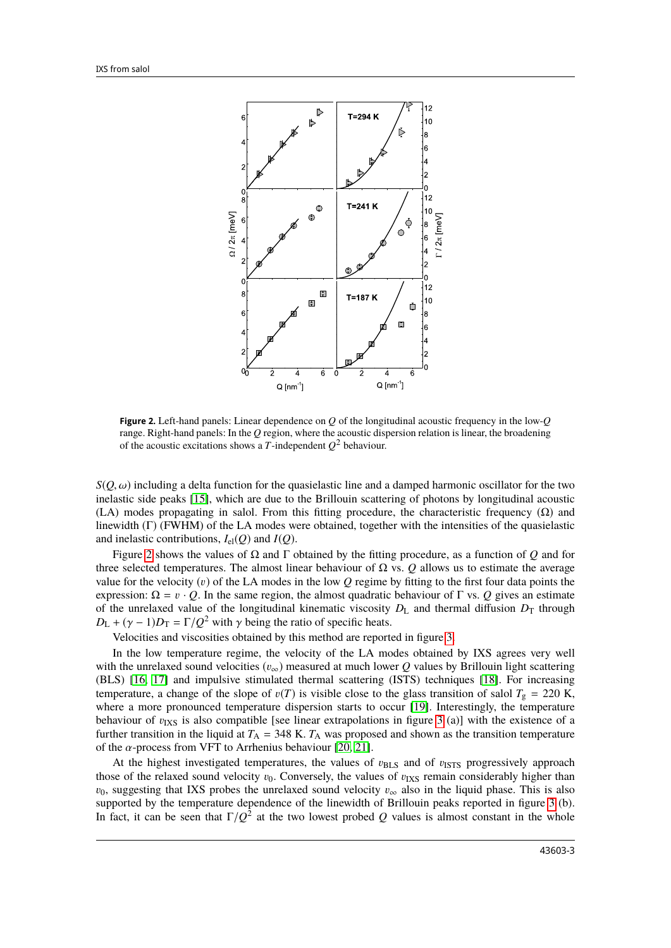

<span id="page-2-0"></span>**Figure 2.** Left-hand panels: Linear dependence on *Q* of the longitudinal acoustic frequency in the low-*Q* range. Right-hand panels: In the *Q* region, where the acoustic dispersion relation is linear, the broadening of the acoustic excitations shows a *T*-independent  $Q^2$  behaviour.

 $S(O, \omega)$  including a delta function for the quasielastic line and a damped harmonic oscillator for the two inelastic side peaks [\[15\]](#page-6-2), which are due to the Brillouin scattering of photons by longitudinal acoustic (LA) modes propagating in salol. From this fitting procedure, the characteristic frequency  $(\Omega)$  and linewidth (Γ) (FWHM) of the LA modes were obtained, together with the intensities of the quasielastic and inelastic contributions,  $I_{el}(Q)$  and  $I(Q)$ .

Figure [2](#page-2-0) shows the values of Ω and Γ obtained by the fitting procedure, as a function of *Q* and for three selected temperatures. The almost linear behaviour of  $\Omega$  vs.  $\Omega$  allows us to estimate the average value for the velocity  $(v)$  of the LA modes in the low  $\hat{Q}$  regime by fitting to the first four data points the expression:  $\Omega = v \cdot Q$ . In the same region, the almost quadratic behaviour of Γ vs. *Q* gives an estimate of the unrelaxed value of the longitudinal kinematic viscosity  $D_L$  and thermal diffusion  $D_T$  through  $D_{\rm L} + (\gamma - 1)D_{\rm T} = \Gamma/Q^2$  with  $\gamma$  being the ratio of specific heats.<br>Nelso iting and viscosities obtained by this mathed are report

Velocities and viscosities obtained by this method are reported in figure [3.](#page-3-0)

In the low temperature regime, the velocity of the LA modes obtained by IXS agrees very well with the unrelaxed sound velocities  $(v_{\infty})$  measured at much lower *Q* values by Brillouin light scattering (BLS) [\[16,](#page-6-3) [17\]](#page-6-4) and impulsive stimulated thermal scattering (ISTS) techniques [\[18\]](#page-6-5). For increasing temperature, a change of the slope of  $v(T)$  is visible close to the glass transition of salol  $T_g = 220$  K, where a more pronounced temperature dispersion starts to occur [\[19\]](#page-6-6). Interestingly, the temperature behaviour of  $v_{\text{IXS}}$  is also compatible [see linear extrapolations in figure [3](#page-3-0) (a)] with the existence of a further transition in the liquid at  $T_A = 348$  K.  $T_A$  was proposed and shown as the transition temperature of the  $\alpha$ -process from VFT to Arrhenius behaviour [\[20,](#page-6-7) [21\]](#page-6-8).

At the highest investigated temperatures, the values of  $v_{\text{BLS}}$  and of  $v_{\text{ISTS}}$  progressively approach those of the relaxed sound velocity  $v_0$ . Conversely, the values of  $v_{\text{IXS}}$  remain considerably higher than  $v_0$ , suggesting that IXS probes the unrelaxed sound velocity  $v_\infty$  also in the liquid phase. This is also supported by the temperature dependence of the linewidth of Brillouin peaks reported in figure [3](#page-3-0) (b). In fact, it can be seen that  $\Gamma/Q^2$  at the two lowest probed *Q* values is almost constant in the whole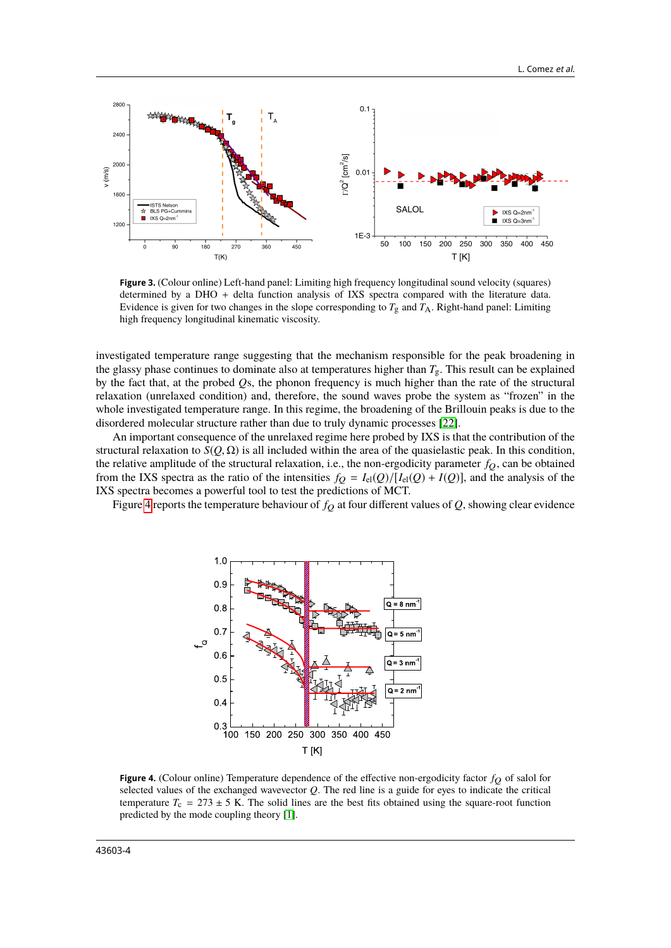

<span id="page-3-0"></span>**Figure 3.** (Colour online) Left-hand panel: Limiting high frequency longitudinal sound velocity (squares) determined by a DHO + delta function analysis of IXS spectra compared with the literature data. Evidence is given for two changes in the slope corresponding to  $T_g$  and  $T_A$ . Right-hand panel: Limiting high frequency longitudinal kinematic viscosity.

investigated temperature range suggesting that the mechanism responsible for the peak broadening in the glassy phase continues to dominate also at temperatures higher than *T*g. This result can be explained by the fact that, at the probed *Q*s, the phonon frequency is much higher than the rate of the structural relaxation (unrelaxed condition) and, therefore, the sound waves probe the system as "frozen" in the whole investigated temperature range. In this regime, the broadening of the Brillouin peaks is due to the disordered molecular structure rather than due to truly dynamic processes [\[22\]](#page-6-9).

An important consequence of the unrelaxed regime here probed by IXS is that the contribution of the structural relaxation to  $S(Q, \Omega)$  is all included within the area of the quasielastic peak. In this condition, the relative amplitude of the structural relaxation, i.e., the non-ergodicity parameter  $f<sub>O</sub>$ , can be obtained from the IXS spectra as the ratio of the intensities  $f_Q = I_{el}(Q)/[I_{el}(Q) + I(Q)]$ , and the analysis of the IXS spectra becomes a powerful tool to test the predictions of MCT.

Figure [4](#page-3-1) reports the temperature behaviour of  $f_Q$  at four different values of  $Q$ , showing clear evidence



<span id="page-3-1"></span>**Figure 4.** (Colour online) Temperature dependence of the effective non-ergodicity factor  $f_Q$  of salol for selected values of the exchanged wavevector *Q*. The red line is a guide for eyes to indicate the critical temperature  $T_c = 273 \pm 5$  K. The solid lines are the best fits obtained using the square-root function predicted by the mode coupling theory [\[1\]](#page-5-0).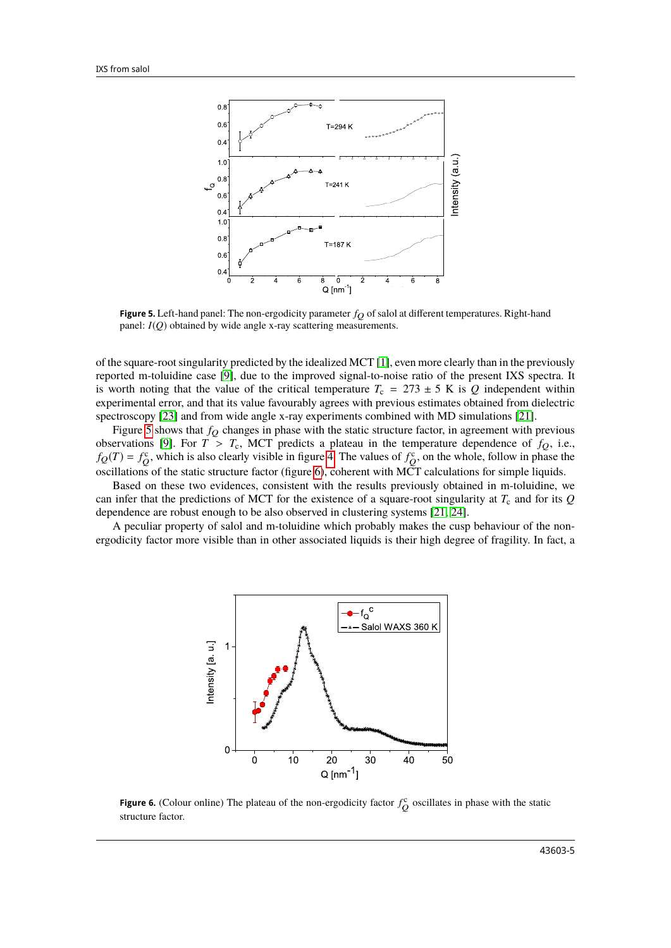

<span id="page-4-0"></span>**Figure 5.** Left-hand panel: The non-ergodicity parameter  $f_Q$  of salol at different temperatures. Right-hand panel: *I*(*Q*) obtained by wide angle x-ray scattering measurements.

of the square-root singularity predicted by the idealized MCT [\[1\]](#page-5-0), even more clearly than in the previously reported m-toluidine case [\[9\]](#page-5-8), due to the improved signal-to-noise ratio of the present IXS spectra. It is worth noting that the value of the critical temperature  $T_c = 273 \pm 5$  K is *Q* independent within experimental error, and that its value favourably agrees with previous estimates obtained from dielectric spectroscopy [\[23\]](#page-6-10) and from wide angle x-ray experiments combined with MD simulations [\[21\]](#page-6-8).

Figure [5](#page-4-0) shows that  $f_Q$  changes in phase with the static structure factor, in agreement with previous observations [\[9\]](#page-5-8). For  $T > T_c$ , MCT predicts a plateau in the temperature dependence of  $f_Q$ , i.e.,  $f_Q(T) = f_Q^c$ , which is also clearly visible in figure [4.](#page-3-1) The values of  $f_Q^c$ , on the whole, follow in phase the oscillations of the static structure factor (figure [6\)](#page-4-1), coherent with MCT calculations for simple liquids.

Based on these two evidences, consistent with the results previously obtained in m-toluidine, we can infer that the predictions of MCT for the existence of a square-root singularity at  $T_c$  and for its  $Q$ dependence are robust enough to be also observed in clustering systems [\[21,](#page-6-8) [24\]](#page-6-11).

A peculiar property of salol and m-toluidine which probably makes the cusp behaviour of the nonergodicity factor more visible than in other associated liquids is their high degree of fragility. In fact, a



<span id="page-4-1"></span>**Figure 6.** (Colour online) The plateau of the non-ergodicity factor  $f_Q^c$  oscillates in phase with the static structure factor.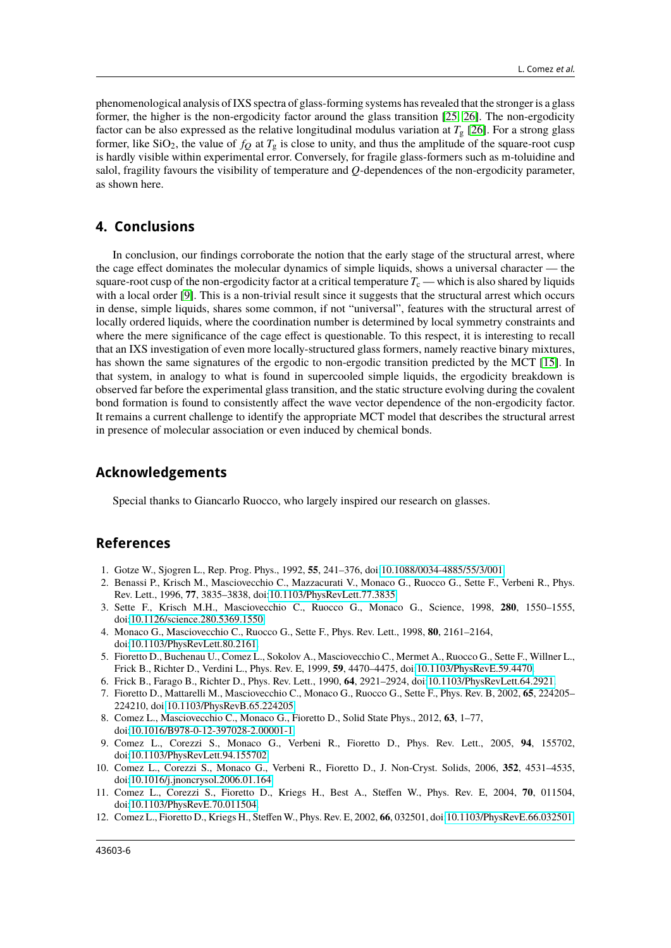phenomenological analysis of IXS spectra of glass-forming systems has revealed that the stronger is a glass former, the higher is the non-ergodicity factor around the glass transition [\[25,](#page-6-12) [26\]](#page-6-13). The non-ergodicity factor can be also expressed as the relative longitudinal modulus variation at  $T<sub>g</sub>$  [\[26\]](#page-6-13). For a strong glass former, like  $SiO_2$ , the value of  $f_Q$  at  $T_g$  is close to unity, and thus the amplitude of the square-root cusp is hardly visible within experimental error. Conversely, for fragile glass-formers such as m-toluidine and salol, fragility favours the visibility of temperature and *Q*-dependences of the non-ergodicity parameter, as shown here.

#### **4. Conclusions**

In conclusion, our findings corroborate the notion that the early stage of the structural arrest, where the cage effect dominates the molecular dynamics of simple liquids, shows a universal character — the square-root cusp of the non-ergodicity factor at a critical temperature  $T_c$  — which is also shared by liquids with a local order [\[9\]](#page-5-8). This is a non-trivial result since it suggests that the structural arrest which occurs in dense, simple liquids, shares some common, if not "universal", features with the structural arrest of locally ordered liquids, where the coordination number is determined by local symmetry constraints and where the mere significance of the cage effect is questionable. To this respect, it is interesting to recall that an IXS investigation of even more locally-structured glass formers, namely reactive binary mixtures, has shown the same signatures of the ergodic to non-ergodic transition predicted by the MCT [\[15\]](#page-6-2). In that system, in analogy to what is found in supercooled simple liquids, the ergodicity breakdown is observed far before the experimental glass transition, and the static structure evolving during the covalent bond formation is found to consistently affect the wave vector dependence of the non-ergodicity factor. It remains a current challenge to identify the appropriate MCT model that describes the structural arrest in presence of molecular association or even induced by chemical bonds.

#### **Acknowledgements**

Special thanks to Giancarlo Ruocco, who largely inspired our research on glasses.

#### **References**

- <span id="page-5-0"></span>1. Gotze W., Sjogren L., Rep. Prog. Phys., 1992, **55**, 241–376, doi[:10.1088/0034-4885/55/3/001.](https://doi.org/10.1088/0034-4885/55/3/001)
- <span id="page-5-1"></span>2. Benassi P., Krisch M., Masciovecchio C., Mazzacurati V., Monaco G., Ruocco G., Sette F., Verbeni R., Phys. Rev. Lett., 1996, **77**, 3835–3838, doi[:10.1103/PhysRevLett.77.3835.](https://doi.org/10.1103/PhysRevLett.77.3835)
- <span id="page-5-2"></span>3. Sette F., Krisch M.H., Masciovecchio C., Ruocco G., Monaco G., Science, 1998, **280**, 1550–1555, doi[:10.1126/science.280.5369.1550.](https://doi.org/10.1126/science.280.5369.1550)
- <span id="page-5-3"></span>4. Monaco G., Masciovecchio C., Ruocco G., Sette F., Phys. Rev. Lett., 1998, **80**, 2161–2164, doi[:10.1103/PhysRevLett.80.2161.](https://doi.org/10.1103/PhysRevLett.80.2161)
- <span id="page-5-4"></span>5. Fioretto D., Buchenau U., Comez L., Sokolov A., Masciovecchio C., Mermet A., Ruocco G., Sette F., Willner L., Frick B., Richter D., Verdini L., Phys. Rev. E, 1999, **59**, 4470–4475, doi[:10.1103/PhysRevE.59.4470.](https://doi.org/10.1103/PhysRevE.59.4470)
- <span id="page-5-5"></span>6. Frick B., Farago B., Richter D., Phys. Rev. Lett., 1990, **64**, 2921–2924, doi[:10.1103/PhysRevLett.64.2921.](https://doi.org/10.1103/PhysRevLett.64.2921)
- <span id="page-5-6"></span>7. Fioretto D., Mattarelli M., Masciovecchio C., Monaco G., Ruocco G., Sette F., Phys. Rev. B, 2002, **65**, 224205– 224210, doi[:10.1103/PhysRevB.65.224205.](https://doi.org/10.1103/PhysRevB.65.224205)
- <span id="page-5-7"></span>8. Comez L., Masciovecchio C., Monaco G., Fioretto D., Solid State Phys., 2012, **63**, 1–77, doi[:10.1016/B978-0-12-397028-2.00001-1.](https://doi.org/10.1016/B978-0-12-397028-2.00001-1)
- <span id="page-5-8"></span>9. Comez L., Corezzi S., Monaco G., Verbeni R., Fioretto D., Phys. Rev. Lett., 2005, **94**, 155702, doi[:10.1103/PhysRevLett.94.155702.](https://doi.org/10.1103/PhysRevLett.94.155702)
- <span id="page-5-9"></span>10. Comez L., Corezzi S., Monaco G., Verbeni R., Fioretto D., J. Non-Cryst. Solids, 2006, **352**, 4531–4535, doi[:10.1016/j.jnoncrysol.2006.01.164.](https://doi.org/10.1016/j.jnoncrysol.2006.01.164)
- <span id="page-5-10"></span>11. Comez L., Corezzi S., Fioretto D., Kriegs H., Best A., Steffen W., Phys. Rev. E, 2004, **70**, 011504, doi[:10.1103/PhysRevE.70.011504.](https://doi.org/10.1103/PhysRevE.70.011504)
- 12. Comez L., Fioretto D., Kriegs H., Steffen W., Phys. Rev. E, 2002, **66**, 032501, doi[:10.1103/PhysRevE.66.032501.](https://doi.org/10.1103/PhysRevE.66.032501)